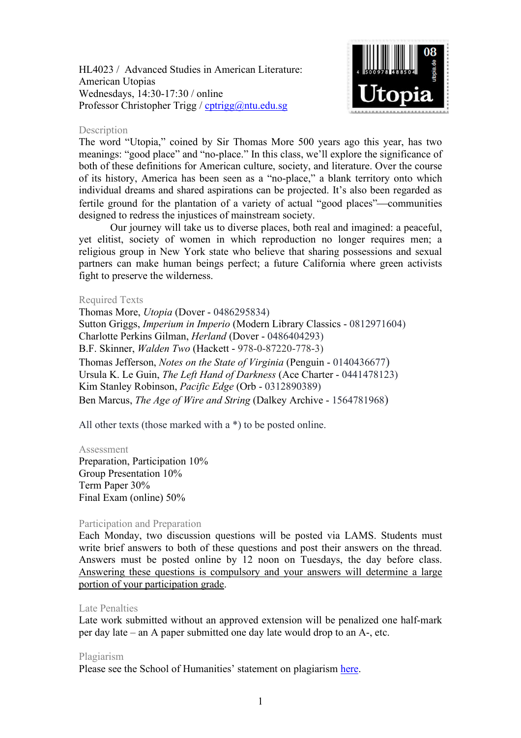HL4023 / Advanced Studies in American Literature: American Utopias Wednesdays, 14:30-17:30 / online Professor Christopher Trigg / [cptrigg@ntu.edu.sg](mailto:cptrigg@ntu.edu.sg)



### Description

The word "Utopia," coined by Sir Thomas More 500 years ago this year, has two meanings: "good place" and "no-place." In this class, we'll explore the significance of both of these definitions for American culture, society, and literature. Over the course of its history, America has been seen as a "no-place," a blank territory onto which individual dreams and shared aspirations can be projected. It's also been regarded as fertile ground for the plantation of a variety of actual "good places"—communities designed to redress the injustices of mainstream society.

Our journey will take us to diverse places, both real and imagined: a peaceful, yet elitist, society of women in which reproduction no longer requires men; a religious group in New York state who believe that sharing possessions and sexual partners can make human beings perfect; a future California where green activists fight to preserve the wilderness.

### Required Texts

Thomas More, *Utopia* (Dover - 0486295834) Sutton Griggs, *Imperium in Imperio* (Modern Library Classics - 0812971604) Charlotte Perkins Gilman, *Herland* (Dover - 0486404293) B.F. Skinner, *Walden Two* (Hackett - 978-0-87220-778-3) Thomas Jefferson, *Notes on the State of Virginia* (Penguin - 0140436677) Ursula K. Le Guin, *The Left Hand of Darkness* (Ace Charter - 0441478123) Kim Stanley Robinson, *Pacific Edge* (Orb - 0312890389) Ben Marcus, *The Age of Wire and String* (Dalkey Archive - 1564781968)

All other texts (those marked with a \*) to be posted online.

#### Assessment

Preparation, Participation 10% Group Presentation 10% Term Paper 30% Final Exam (online) 50%

## Participation and Preparation

Each Monday, two discussion questions will be posted via LAMS. Students must write brief answers to both of these questions and post their answers on the thread. Answers must be posted online by 12 noon on Tuesdays, the day before class. Answering these questions is compulsory and your answers will determine a large portion of your participation grade.

## Late Penalties

Late work submitted without an approved extension will be penalized one half-mark per day late – an A paper submitted one day late would drop to an A-, etc.

#### Plagiarism

Please see the School of Humanities' statement on plagiarism [here.](http://www.soh.ntu.edu.sg/Programmes/Undergraduate/current/Pages/forms.aspx)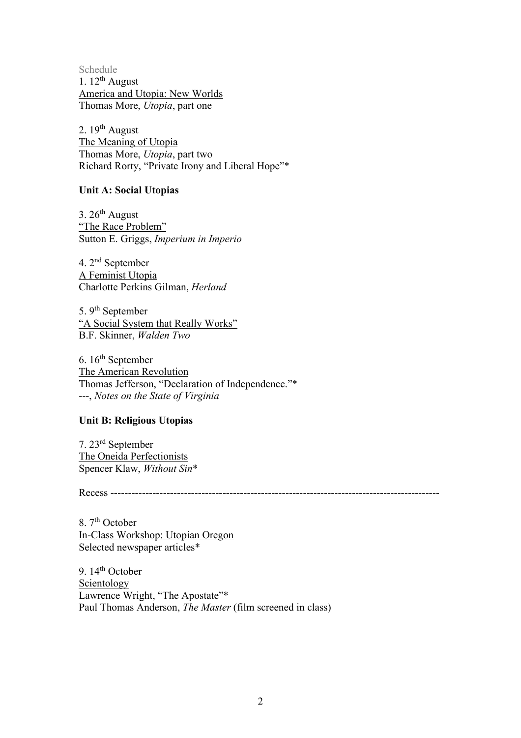Schedule 1.  $12^{th}$  August America and Utopia: New Worlds Thomas More, *Utopia*, part one

2.  $19<sup>th</sup>$  August The Meaning of Utopia Thomas More, *Utopia*, part two Richard Rorty, "Private Irony and Liberal Hope"\*

## **Unit A: Social Utopias**

3.  $26<sup>th</sup>$  August "The Race Problem" Sutton E. Griggs, *Imperium in Imperio*

4. 2nd September A Feminist Utopia Charlotte Perkins Gilman, *Herland*

5. 9<sup>th</sup> September "A Social System that Really Works" B.F. Skinner, *Walden Two*

6.  $16<sup>th</sup>$  September The American Revolution Thomas Jefferson, "Declaration of Independence."\* ---, *Notes on the State of Virginia*

# **Unit B: Religious Utopias**

7. 23rd September The Oneida Perfectionists Spencer Klaw, *Without Sin*\*

Recess ----------------------------------------------------------------------------------------------

8. 7<sup>th</sup> October In-Class Workshop: Utopian Oregon Selected newspaper articles\*

9. 14<sup>th</sup> October Scientology Lawrence Wright, "The Apostate"\* Paul Thomas Anderson, *The Master* (film screened in class)